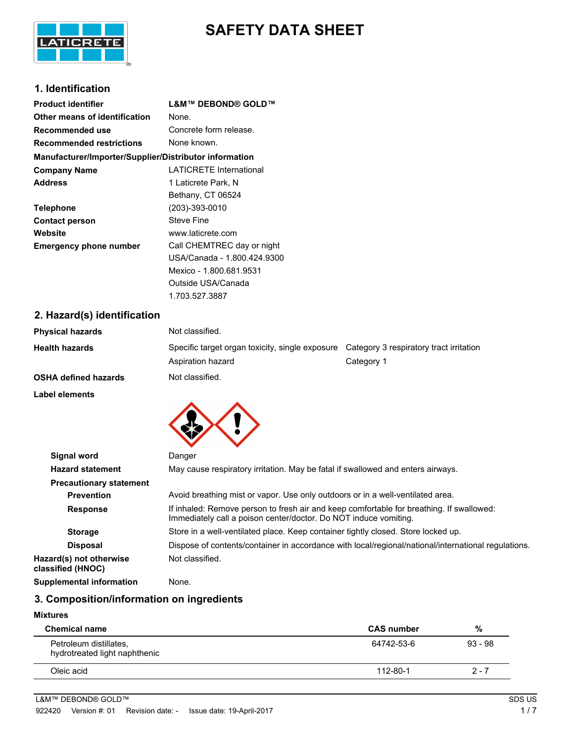

# **SAFETY DATA SHEET**

# **1. Identification**

| <b>Product identifier</b>                              | L&M™ DEBOND® GOLD™             |  |  |
|--------------------------------------------------------|--------------------------------|--|--|
| Other means of identification                          | None.                          |  |  |
| Recommended use                                        | Concrete form release.         |  |  |
| <b>Recommended restrictions</b>                        | None known.                    |  |  |
| Manufacturer/Importer/Supplier/Distributor information |                                |  |  |
| <b>Company Name</b>                                    | <b>LATICRETE International</b> |  |  |
| <b>Address</b>                                         | 1 Laticrete Park, N            |  |  |
|                                                        | Bethany, CT 06524              |  |  |
| <b>Telephone</b>                                       | $(203) - 393 - 0010$           |  |  |
| <b>Contact person</b>                                  | Steve Fine                     |  |  |
| Website                                                | www.laticrete.com              |  |  |
| <b>Emergency phone number</b>                          | Call CHEMTREC day or night     |  |  |
|                                                        | USA/Canada - 1.800.424.9300    |  |  |
|                                                        | Mexico - 1.800.681.9531        |  |  |
|                                                        | Outside USA/Canada             |  |  |
|                                                        | 1.703.527.3887                 |  |  |

### **2. Hazard(s) identification**

| <b>Physical hazards</b>     | Not classified.                                                      |                                                       |
|-----------------------------|----------------------------------------------------------------------|-------------------------------------------------------|
| <b>Health hazards</b>       | Specific target organ toxicity, single exposure<br>Aspiration hazard | Category 3 respiratory tract irritation<br>Category 1 |
| <b>OSHA defined hazards</b> | Not classified.                                                      |                                                       |
| Label elements              |                                                                      |                                                       |



| <b>Signal word</b>                           | Danger                                                                                                                                                       |  |  |
|----------------------------------------------|--------------------------------------------------------------------------------------------------------------------------------------------------------------|--|--|
| <b>Hazard statement</b>                      | May cause respiratory irritation. May be fatal if swallowed and enters airways.                                                                              |  |  |
| <b>Precautionary statement</b>               |                                                                                                                                                              |  |  |
| <b>Prevention</b>                            | Avoid breathing mist or vapor. Use only outdoors or in a well-ventilated area.                                                                               |  |  |
| <b>Response</b>                              | If inhaled: Remove person to fresh air and keep comfortable for breathing. If swallowed:<br>Immediately call a poison center/doctor. Do NOT induce vomiting. |  |  |
| <b>Storage</b>                               | Store in a well-ventilated place. Keep container tightly closed. Store locked up.                                                                            |  |  |
| <b>Disposal</b>                              | Dispose of contents/container in accordance with local/regional/national/international regulations.                                                          |  |  |
| Hazard(s) not otherwise<br>classified (HNOC) | Not classified.                                                                                                                                              |  |  |
| <b>Supplemental information</b>              | None.                                                                                                                                                        |  |  |

# **3. Composition/information on ingredients**

#### **Mixtures**

| <b>Chemical name</b>                                    | <b>CAS number</b> | %         |
|---------------------------------------------------------|-------------------|-----------|
| Petroleum distillates,<br>hydrotreated light naphthenic | 64742-53-6        | $93 - 98$ |
| Oleic acid                                              | 112-80-1          | $2 - 7$   |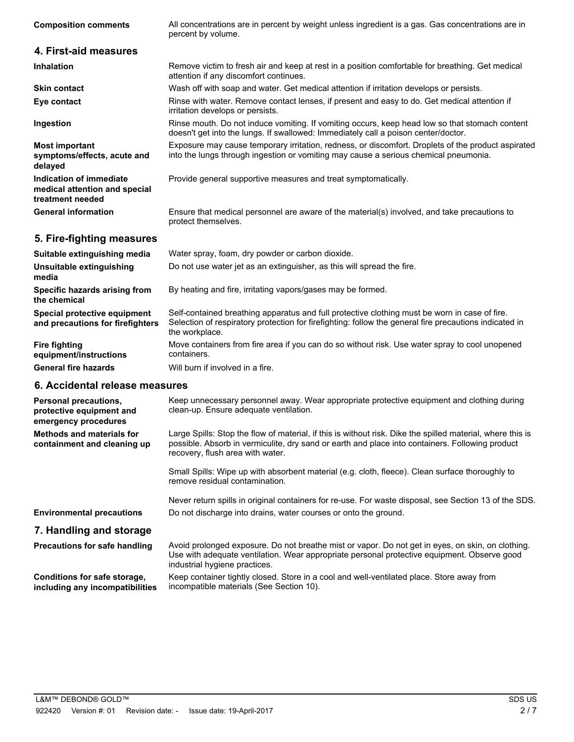| <b>Composition comments</b>                                                  | All concentrations are in percent by weight unless ingredient is a gas. Gas concentrations are in<br>percent by volume.                                                                    |
|------------------------------------------------------------------------------|--------------------------------------------------------------------------------------------------------------------------------------------------------------------------------------------|
| 4. First-aid measures                                                        |                                                                                                                                                                                            |
| <b>Inhalation</b>                                                            | Remove victim to fresh air and keep at rest in a position comfortable for breathing. Get medical<br>attention if any discomfort continues.                                                 |
| <b>Skin contact</b>                                                          | Wash off with soap and water. Get medical attention if irritation develops or persists.                                                                                                    |
| Eye contact                                                                  | Rinse with water. Remove contact lenses, if present and easy to do. Get medical attention if<br>irritation develops or persists.                                                           |
| Ingestion                                                                    | Rinse mouth. Do not induce vomiting. If vomiting occurs, keep head low so that stomach content<br>doesn't get into the lungs. If swallowed: Immediately call a poison center/doctor.       |
| <b>Most important</b><br>symptoms/effects, acute and<br>delayed              | Exposure may cause temporary irritation, redness, or discomfort. Droplets of the product aspirated<br>into the lungs through ingestion or vomiting may cause a serious chemical pneumonia. |
| Indication of immediate<br>medical attention and special<br>treatment needed | Provide general supportive measures and treat symptomatically.                                                                                                                             |
| <b>General information</b>                                                   | Ensure that medical personnel are aware of the material(s) involved, and take precautions to<br>protect themselves.                                                                        |
| 5. Fire-fighting measures                                                    |                                                                                                                                                                                            |
| Suitable extinguishing media                                                 | Water spray, foam, dry powder or carbon dioxide.                                                                                                                                           |
| Unsuitable extinguishing<br>media                                            | Do not use water jet as an extinguisher, as this will spread the fire.                                                                                                                     |
| Specific hazards arising from<br>the chemical                                | By heating and fire, irritating vapors/gases may be formed.                                                                                                                                |
| Special protective equipment                                                 | Self-contained breathing apparatus and full protective clothing must be worn in case of fire.                                                                                              |

**Special protective equipment and precautions for firefighters**

Selection of respiratory protection for firefighting: follow the general fire precautions indicated in the workplace. Move containers from fire area if you can do so without risk. Use water spray to cool unopened containers. **Fire fighting equipment/instructions General fire hazards** Will burn if involved in a fire.

#### **6. Accidental release measures**

| <b>Personal precautions,</b><br>protective equipment and<br>emergency procedures | Keep unnecessary personnel away. Wear appropriate protective equipment and clothing during<br>clean-up. Ensure adequate ventilation.                                                                                                              |
|----------------------------------------------------------------------------------|---------------------------------------------------------------------------------------------------------------------------------------------------------------------------------------------------------------------------------------------------|
| Methods and materials for<br>containment and cleaning up                         | Large Spills: Stop the flow of material, if this is without risk. Dike the spilled material, where this is<br>possible. Absorb in vermiculite, dry sand or earth and place into containers. Following product<br>recovery, flush area with water. |
|                                                                                  | Small Spills: Wipe up with absorbent material (e.g. cloth, fleece). Clean surface thoroughly to<br>remove residual contamination.                                                                                                                 |
|                                                                                  | Never return spills in original containers for re-use. For waste disposal, see Section 13 of the SDS.                                                                                                                                             |
| <b>Environmental precautions</b>                                                 | Do not discharge into drains, water courses or onto the ground.                                                                                                                                                                                   |
| 7. Handling and storage                                                          |                                                                                                                                                                                                                                                   |
| <b>Precautions for safe handling</b>                                             | Avoid prolonged exposure. Do not breathe mist or vapor. Do not get in eyes, on skin, on clothing.<br>Use with adequate ventilation. Wear appropriate personal protective equipment. Observe good<br>industrial hygiene practices.                 |
| Conditions for safe storage,<br>including any incompatibilities                  | Keep container tightly closed. Store in a cool and well-ventilated place. Store away from<br>incompatible materials (See Section 10).                                                                                                             |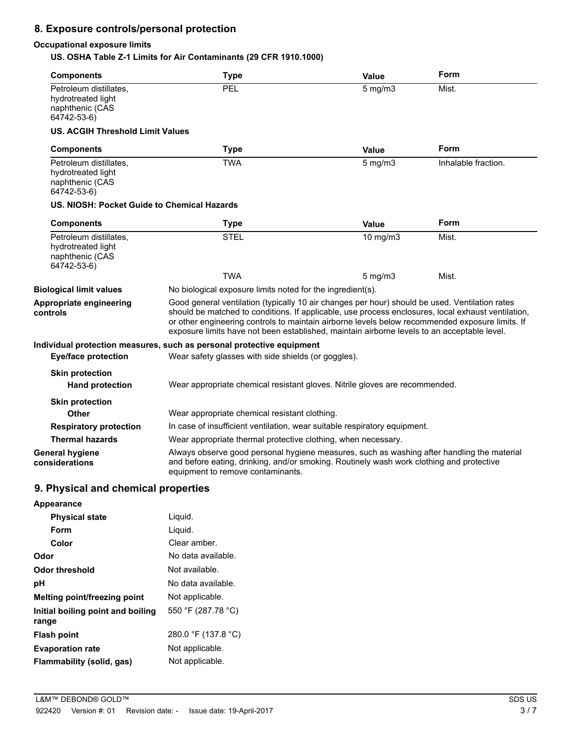# **8. Exposure controls/personal protection**

#### **Occupational exposure limits**

**US. OSHA Table Z-1 Limits for Air Contaminants (29 CFR 1910.1000)**

| <b>Components</b>                                                              | <b>Type</b>                                                                                                                                                                                                                                                                                                                                                                                            | Value                 | Form  |  |
|--------------------------------------------------------------------------------|--------------------------------------------------------------------------------------------------------------------------------------------------------------------------------------------------------------------------------------------------------------------------------------------------------------------------------------------------------------------------------------------------------|-----------------------|-------|--|
| Petroleum distillates,<br>hydrotreated light<br>naphthenic (CAS<br>64742-53-6) | PEL                                                                                                                                                                                                                                                                                                                                                                                                    | $5$ mg/m $3$          | Mist. |  |
| <b>US. ACGIH Threshold Limit Values</b>                                        |                                                                                                                                                                                                                                                                                                                                                                                                        |                       |       |  |
| <b>Components</b>                                                              | <b>Type</b>                                                                                                                                                                                                                                                                                                                                                                                            | Value<br>$5$ mg/m $3$ | Form  |  |
| Petroleum distillates,<br>hydrotreated light<br>naphthenic (CAS<br>64742-53-6) | <b>TWA</b>                                                                                                                                                                                                                                                                                                                                                                                             | Inhalable fraction.   |       |  |
| US. NIOSH: Pocket Guide to Chemical Hazards                                    |                                                                                                                                                                                                                                                                                                                                                                                                        |                       |       |  |
| <b>Components</b>                                                              | <b>Type</b>                                                                                                                                                                                                                                                                                                                                                                                            | <b>Value</b>          | Form  |  |
| Petroleum distillates.<br>hydrotreated light<br>naphthenic (CAS<br>64742-53-6) | <b>STEL</b>                                                                                                                                                                                                                                                                                                                                                                                            | 10 mg/m3              | Mist. |  |
|                                                                                | <b>TWA</b>                                                                                                                                                                                                                                                                                                                                                                                             | $5 \text{ mg/m}$      | Mist. |  |
| <b>Biological limit values</b>                                                 | No biological exposure limits noted for the ingredient(s).                                                                                                                                                                                                                                                                                                                                             |                       |       |  |
| Appropriate engineering<br>controls                                            | Good general ventilation (typically 10 air changes per hour) should be used. Ventilation rates<br>should be matched to conditions. If applicable, use process enclosures, local exhaust ventilation,<br>or other engineering controls to maintain airborne levels below recommended exposure limits. If<br>exposure limits have not been established, maintain airborne levels to an acceptable level. |                       |       |  |
|                                                                                | Individual protection measures, such as personal protective equipment                                                                                                                                                                                                                                                                                                                                  |                       |       |  |
| <b>Eye/face protection</b>                                                     | Wear safety glasses with side shields (or goggles).                                                                                                                                                                                                                                                                                                                                                    |                       |       |  |
| <b>Skin protection</b>                                                         |                                                                                                                                                                                                                                                                                                                                                                                                        |                       |       |  |
| <b>Hand protection</b>                                                         | Wear appropriate chemical resistant gloves. Nitrile gloves are recommended.                                                                                                                                                                                                                                                                                                                            |                       |       |  |
| <b>Skin protection</b>                                                         |                                                                                                                                                                                                                                                                                                                                                                                                        |                       |       |  |
| Other                                                                          | Wear appropriate chemical resistant clothing.                                                                                                                                                                                                                                                                                                                                                          |                       |       |  |
| <b>Respiratory protection</b>                                                  | In case of insufficient ventilation, wear suitable respiratory equipment.                                                                                                                                                                                                                                                                                                                              |                       |       |  |
| <b>Thermal hazards</b>                                                         | Wear appropriate thermal protective clothing, when necessary.                                                                                                                                                                                                                                                                                                                                          |                       |       |  |
| <b>General hygiene</b><br>considerations                                       | Always observe good personal hygiene measures, such as washing after handling the material<br>and before eating, drinking, and/or smoking. Routinely wash work clothing and protective<br>equipment to remove contaminants.                                                                                                                                                                            |                       |       |  |
| 9. Physical and chemical properties                                            |                                                                                                                                                                                                                                                                                                                                                                                                        |                       |       |  |
| Appearance                                                                     |                                                                                                                                                                                                                                                                                                                                                                                                        |                       |       |  |
| <b>Physical state</b>                                                          | Liquid.                                                                                                                                                                                                                                                                                                                                                                                                |                       |       |  |
| Form                                                                           | Liquid.                                                                                                                                                                                                                                                                                                                                                                                                |                       |       |  |
| Color                                                                          | Clear amber.                                                                                                                                                                                                                                                                                                                                                                                           |                       |       |  |
| Odor                                                                           | No data available.                                                                                                                                                                                                                                                                                                                                                                                     |                       |       |  |
| <b>Odor threshold</b>                                                          | Not available.                                                                                                                                                                                                                                                                                                                                                                                         |                       |       |  |
| pH                                                                             | No data available.                                                                                                                                                                                                                                                                                                                                                                                     |                       |       |  |
| Melting point/freezing point                                                   | Not applicable.                                                                                                                                                                                                                                                                                                                                                                                        |                       |       |  |
| Initial boiling point and boiling<br>range                                     | 550 °F (287.78 °C)                                                                                                                                                                                                                                                                                                                                                                                     |                       |       |  |
| <b>Flash point</b>                                                             | 280.0 °F (137.8 °C)                                                                                                                                                                                                                                                                                                                                                                                    |                       |       |  |

**Evaporation rate** Not applicable. **Flammability (solid, gas)** Not applicable.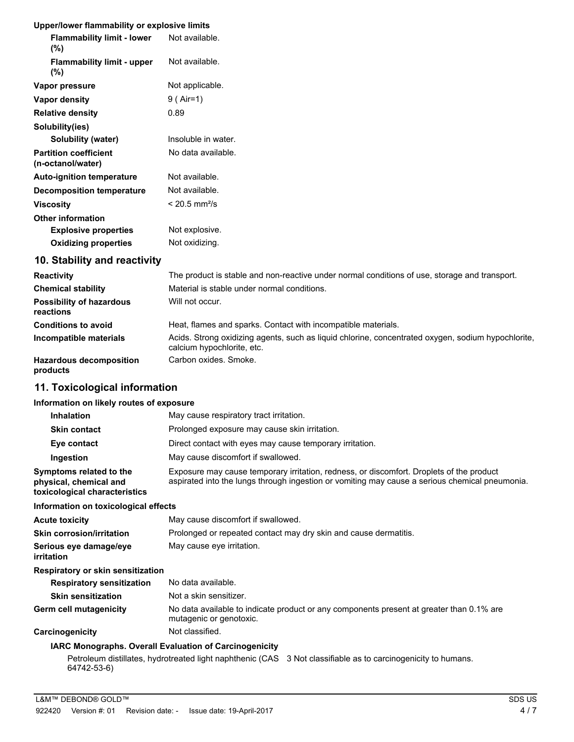### **Upper/lower flammability or explosive limits**

| <b>Flammability limit - lower</b><br>$(\% )$      | Not available.              |
|---------------------------------------------------|-----------------------------|
| <b>Flammability limit - upper</b><br>$(\%)$       | Not available.              |
| Vapor pressure                                    | Not applicable.             |
| Vapor density                                     | 9 ( Air=1)                  |
| <b>Relative density</b>                           | 0.89                        |
| Solubility(ies)                                   |                             |
| Solubility (water)                                | Insoluble in water.         |
| <b>Partition coefficient</b><br>(n-octanol/water) | No data available.          |
| <b>Auto-ignition temperature</b>                  | Not available.              |
| <b>Decomposition temperature</b>                  | Not available.              |
| <b>Viscosity</b>                                  | $< 20.5$ mm <sup>2</sup> /s |
| <b>Other information</b>                          |                             |
| <b>Explosive properties</b>                       | Not explosive.              |
| <b>Oxidizing properties</b>                       | Not oxidizing.              |
| 10. Stability and reactivity                      |                             |

| <b>Reactivity</b>                            | The product is stable and non-reactive under normal conditions of use, storage and transport.                                    |
|----------------------------------------------|----------------------------------------------------------------------------------------------------------------------------------|
| <b>Chemical stability</b>                    | Material is stable under normal conditions.                                                                                      |
| <b>Possibility of hazardous</b><br>reactions | Will not occur.                                                                                                                  |
| <b>Conditions to avoid</b>                   | Heat, flames and sparks. Contact with incompatible materials.                                                                    |
| Incompatible materials                       | Acids. Strong oxidizing agents, such as liguid chlorine, concentrated oxygen, sodium hypochlorite,<br>calcium hypochlorite, etc. |
| <b>Hazardous decomposition</b><br>products   | Carbon oxides. Smoke.                                                                                                            |

# **11. Toxicological information**

#### **Information on likely routes of exposure**

| <b>Inhalation</b>                                                                  | May cause respiratory tract irritation.                                                                                                                                                    |  |  |
|------------------------------------------------------------------------------------|--------------------------------------------------------------------------------------------------------------------------------------------------------------------------------------------|--|--|
| <b>Skin contact</b>                                                                | Prolonged exposure may cause skin irritation.                                                                                                                                              |  |  |
| Eye contact                                                                        | Direct contact with eyes may cause temporary irritation.                                                                                                                                   |  |  |
| Ingestion                                                                          | May cause discomfort if swallowed.                                                                                                                                                         |  |  |
| Symptoms related to the<br>physical, chemical and<br>toxicological characteristics | Exposure may cause temporary irritation, redness, or discomfort. Droplets of the product<br>aspirated into the lungs through ingestion or vomiting may cause a serious chemical pneumonia. |  |  |
| Information on toxicological effects                                               |                                                                                                                                                                                            |  |  |
| <b>Acute toxicity</b>                                                              | May cause discomfort if swallowed.                                                                                                                                                         |  |  |
| <b>Skin corrosion/irritation</b>                                                   | Prolonged or repeated contact may dry skin and cause dermatitis.                                                                                                                           |  |  |
| Serious eye damage/eye<br>irritation                                               | May cause eye irritation.                                                                                                                                                                  |  |  |
| <b>Respiratory or skin sensitization</b>                                           |                                                                                                                                                                                            |  |  |
| <b>Respiratory sensitization</b>                                                   | No data available.                                                                                                                                                                         |  |  |
| <b>Skin sensitization</b>                                                          | Not a skin sensitizer.                                                                                                                                                                     |  |  |
| Germ cell mutagenicity                                                             | No data available to indicate product or any components present at greater than 0.1% are<br>mutagenic or genotoxic.                                                                        |  |  |
| Carcinogenicity                                                                    | Not classified.                                                                                                                                                                            |  |  |
|                                                                                    | <b>IAPC Monographe, Overall Evaluation of Carcinogonicity</b>                                                                                                                              |  |  |

#### **IARC Monographs. Overall Evaluation of Carcinogenicity**

Petroleum distillates, hydrotreated light naphthenic (CAS 3 Not classifiable as to carcinogenicity to humans. 64742-53-6)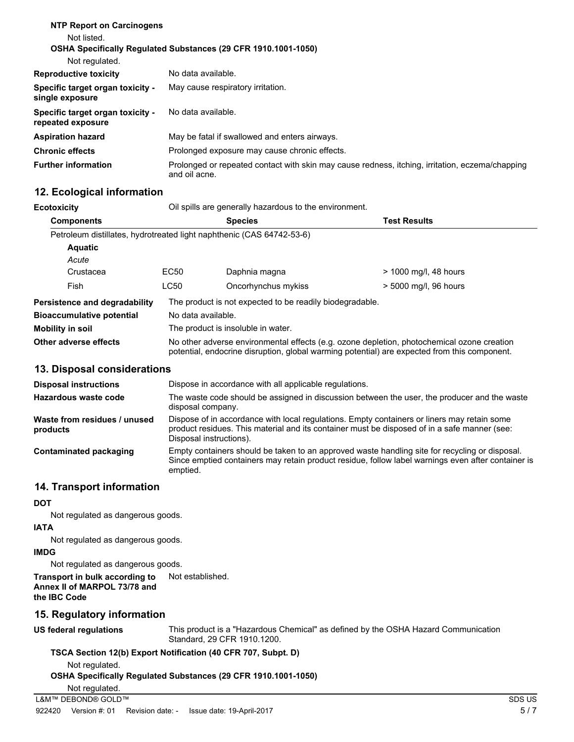| <b>NTP Report on Carcinogens</b><br>Not listed.<br>Not regulated. | <b>OSHA Specifically Requiated Substances (29 CFR 1910.1001-1050)</b>                                            |
|-------------------------------------------------------------------|------------------------------------------------------------------------------------------------------------------|
| <b>Reproductive toxicity</b>                                      | No data available.                                                                                               |
| Specific target organ toxicity -<br>single exposure               | May cause respiratory irritation.                                                                                |
| Specific target organ toxicity -<br>repeated exposure             | No data available.                                                                                               |
| <b>Aspiration hazard</b>                                          | May be fatal if swallowed and enters airways.                                                                    |
| <b>Chronic effects</b>                                            | Prolonged exposure may cause chronic effects.                                                                    |
| <b>Further information</b>                                        | Prolonged or repeated contact with skin may cause redness, itching, irritation, eczema/chapping<br>and oil acne. |

### **12. Ecological information**

**Ecotoxicity Cil spills are generally hazardous to the environment.** 

| <b>Components</b>                |                                                                                                                                                                                            | <b>Species</b>                                                        | <b>Test Results</b>   |  |
|----------------------------------|--------------------------------------------------------------------------------------------------------------------------------------------------------------------------------------------|-----------------------------------------------------------------------|-----------------------|--|
|                                  |                                                                                                                                                                                            | Petroleum distillates, hydrotreated light naphthenic (CAS 64742-53-6) |                       |  |
| <b>Aquatic</b>                   |                                                                                                                                                                                            |                                                                       |                       |  |
| Acute                            |                                                                                                                                                                                            |                                                                       |                       |  |
| Crustacea                        | EC <sub>50</sub>                                                                                                                                                                           | Daphnia magna                                                         | > 1000 mg/l, 48 hours |  |
| Fish                             | LC50                                                                                                                                                                                       | Oncorhynchus mykiss                                                   | > 5000 mg/l, 96 hours |  |
| Persistence and degradability    |                                                                                                                                                                                            | The product is not expected to be readily biodegradable.              |                       |  |
| <b>Bioaccumulative potential</b> |                                                                                                                                                                                            | No data available.                                                    |                       |  |
| Mobility in soil                 |                                                                                                                                                                                            | The product is insoluble in water.                                    |                       |  |
| Other adverse effects            | No other adverse environmental effects (e.g. ozone depletion, photochemical ozone creation<br>potential, endocrine disruption, global warming potential) are expected from this component. |                                                                       |                       |  |

### **13. Disposal considerations**

| <b>Disposal instructions</b>             | Dispose in accordance with all applicable regulations.                                                                                                                                                                 |
|------------------------------------------|------------------------------------------------------------------------------------------------------------------------------------------------------------------------------------------------------------------------|
| Hazardous waste code                     | The waste code should be assigned in discussion between the user, the producer and the waste<br>disposal company.                                                                                                      |
| Waste from residues / unused<br>products | Dispose of in accordance with local regulations. Empty containers or liners may retain some<br>product residues. This material and its container must be disposed of in a safe manner (see:<br>Disposal instructions). |
| Contaminated packaging                   | Empty containers should be taken to an approved waste handling site for recycling or disposal.<br>Since emptied containers may retain product residue, follow label warnings even after container is<br>emptied.       |

### **14. Transport information**

**DOT**

Not regulated as dangerous goods.

#### **IATA**

Not regulated as dangerous goods.

### **IMDG**

Not regulated as dangerous goods.

#### **Transport in bulk according to** Not established. **Annex II of MARPOL 73/78 and the IBC Code**

## **15. Regulatory information**

**US federal regulations**

This product is a "Hazardous Chemical" as defined by the OSHA Hazard Communication Standard, 29 CFR 1910.1200.

## **TSCA Section 12(b) Export Notification (40 CFR 707, Subpt. D)**

Not regulated.

```
OSHA Specifically Regulated Substances (29 CFR 1910.1001-1050)
```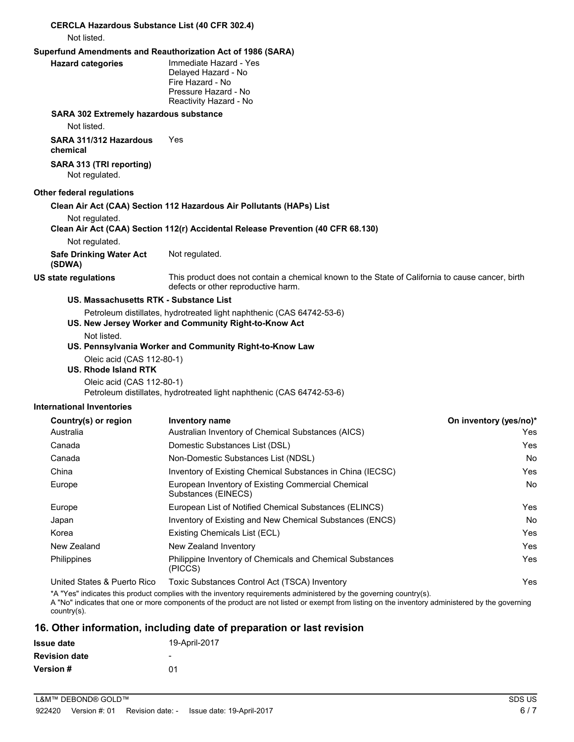| <b>CERCLA Hazardous Substance List (40 CFR 302.4)</b><br>Not listed. |                                                                                                                                         |                        |
|----------------------------------------------------------------------|-----------------------------------------------------------------------------------------------------------------------------------------|------------------------|
|                                                                      | Superfund Amendments and Reauthorization Act of 1986 (SARA)                                                                             |                        |
| <b>Hazard categories</b>                                             | Immediate Hazard - Yes<br>Delayed Hazard - No<br>Fire Hazard - No<br>Pressure Hazard - No<br>Reactivity Hazard - No                     |                        |
| SARA 302 Extremely hazardous substance                               |                                                                                                                                         |                        |
| Not listed.                                                          |                                                                                                                                         |                        |
| SARA 311/312 Hazardous<br>chemical                                   | Yes                                                                                                                                     |                        |
| SARA 313 (TRI reporting)<br>Not regulated.                           |                                                                                                                                         |                        |
| Other federal regulations                                            |                                                                                                                                         |                        |
|                                                                      | Clean Air Act (CAA) Section 112 Hazardous Air Pollutants (HAPs) List                                                                    |                        |
| Not regulated.                                                       | Clean Air Act (CAA) Section 112(r) Accidental Release Prevention (40 CFR 68.130)                                                        |                        |
| Not regulated.                                                       |                                                                                                                                         |                        |
| <b>Safe Drinking Water Act</b><br>(SDWA)                             | Not regulated.                                                                                                                          |                        |
| <b>US state regulations</b>                                          | This product does not contain a chemical known to the State of California to cause cancer, birth<br>defects or other reproductive harm. |                        |
| US. Massachusetts RTK - Substance List                               |                                                                                                                                         |                        |
|                                                                      | Petroleum distillates, hydrotreated light naphthenic (CAS 64742-53-6)<br>US. New Jersey Worker and Community Right-to-Know Act          |                        |
| Not listed.                                                          |                                                                                                                                         |                        |
|                                                                      | US. Pennsylvania Worker and Community Right-to-Know Law                                                                                 |                        |
| Oleic acid (CAS 112-80-1)                                            |                                                                                                                                         |                        |
| <b>US. Rhode Island RTK</b>                                          |                                                                                                                                         |                        |
| Oleic acid (CAS 112-80-1)                                            | Petroleum distillates, hydrotreated light naphthenic (CAS 64742-53-6)                                                                   |                        |
| <b>International Inventories</b>                                     |                                                                                                                                         |                        |
| Country(s) or region                                                 | <b>Inventory name</b>                                                                                                                   | On inventory (yes/no)* |
| Australia                                                            | Australian Inventory of Chemical Substances (AICS)                                                                                      | Yes                    |
| Canada                                                               | Domestic Substances List (DSL)                                                                                                          | Yes                    |
| Canada                                                               | Non-Domestic Substances List (NDSL)                                                                                                     | No                     |
| China                                                                | Inventory of Existing Chemical Substances in China (IECSC)                                                                              | Yes                    |
| Europe                                                               | European Inventory of Existing Commercial Chemical<br>Substances (EINECS)                                                               | No                     |
| Europe                                                               | European List of Notified Chemical Substances (ELINCS)                                                                                  | Yes                    |
| Japan                                                                | Inventory of Existing and New Chemical Substances (ENCS)                                                                                | No                     |

| Country(s) or region        | <b>Inventory name</b>                                                     | On inventory (yes/no)* |
|-----------------------------|---------------------------------------------------------------------------|------------------------|
| Australia                   | Australian Inventory of Chemical Substances (AICS)                        | Yes.                   |
| Canada                      | Domestic Substances List (DSL)                                            | Yes                    |
| Canada                      | Non-Domestic Substances List (NDSL)                                       | No.                    |
| China                       | Inventory of Existing Chemical Substances in China (IECSC)                | Yes                    |
| Europe                      | European Inventory of Existing Commercial Chemical<br>Substances (EINECS) | No.                    |
| Europe                      | European List of Notified Chemical Substances (ELINCS)                    | Yes                    |
| Japan                       | Inventory of Existing and New Chemical Substances (ENCS)                  | No.                    |
| Korea                       | Existing Chemicals List (ECL)                                             | Yes                    |
| New Zealand                 | New Zealand Inventory                                                     | Yes                    |
| Philippines                 | Philippine Inventory of Chemicals and Chemical Substances<br>(PICCS)      | Yes                    |
| United States & Puerto Rico | Toxic Substances Control Act (TSCA) Inventory                             | Yes                    |

\*A "Yes" indicates this product complies with the inventory requirements administered by the governing country(s). A "No" indicates that one or more components of the product are not listed or exempt from listing on the inventory administered by the governing country(s).

# **16. Other information, including date of preparation or last revision**

| <b>Issue date</b>    | 19-April-2017 |
|----------------------|---------------|
| <b>Revision date</b> | -             |
| <b>Version #</b>     | በ1            |